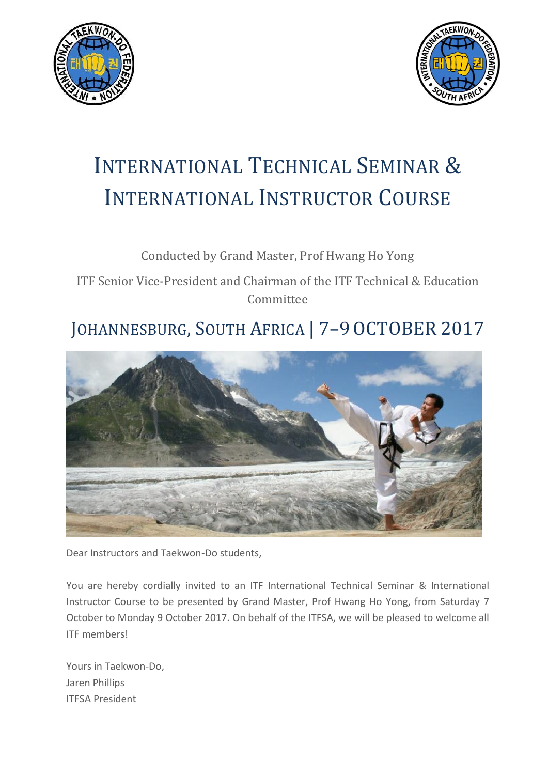



# INTERNATIONAL TECHNICAL SEMINAR & INTERNATIONAL INSTRUCTOR COURSE

### Conducted by Grand Master, Prof Hwang Ho Yong

ITF Senior Vice-President and Chairman of the ITF Technical & Education Committee

## JOHANNESBURG, SOUTH AFRICA | 7-9 OCTOBER 2017



Dear Instructors and Taekwon-Do students,

You are hereby cordially invited to an ITF International Technical Seminar & International Instructor Course to be presented by Grand Master, Prof Hwang Ho Yong, from Saturday 7 October to Monday 9 October 2017. On behalf of the ITFSA, we will be pleased to welcome all ITF members!

Yours in Taekwon-Do, Jaren Phillips ITFSA President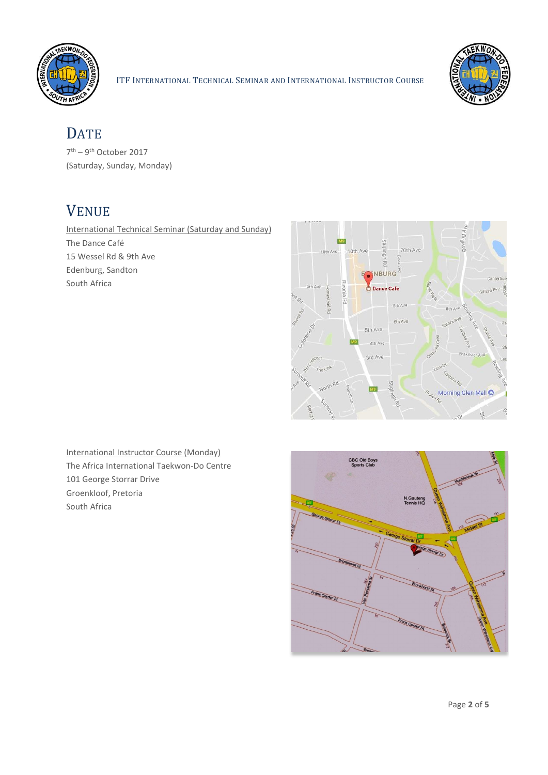



### **DATE**

7<sup>th</sup> – 9<sup>th</sup> October 2017 (Saturday, Sunday, Monday)

### VENUE

International Technical Seminar (Saturday and Sunday) The Dance Café 15 Wessel Rd & 9th Ave Edenburg, Sandton South Africa



International Instructor Course (Monday) The Africa International Taekwon-Do Centre 101 George Storrar Drive Groenkloof, Pretoria South Africa

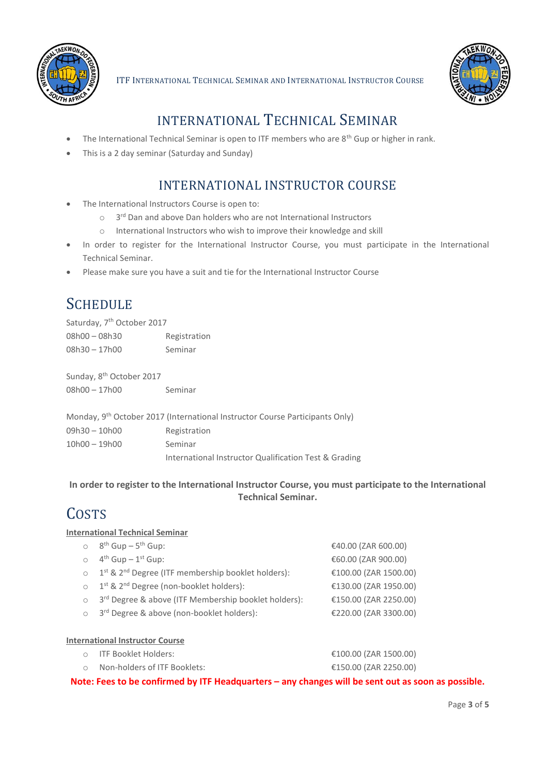



### INTERNATIONAL TECHNICAL SEMINAR

- The International Technical Seminar is open to ITF members who are  $8<sup>th</sup>$  Gup or higher in rank.
- This is a 2 day seminar (Saturday and Sunday)

### INTERNATIONAL INSTRUCTOR COURSE

- The International Instructors Course is open to:
	- $\circ$  3<sup>rd</sup> Dan and above Dan holders who are not International Instructors
	- o International Instructors who wish to improve their knowledge and skill
- In order to register for the International Instructor Course, you must participate in the International Technical Seminar.
- Please make sure you have a suit and tie for the International Instructor Course

### **SCHEDULE**

Saturday, 7<sup>th</sup> October 2017 08h00 – 08h30 Registration 08h30 – 17h00 Seminar

Sunday, 8<sup>th</sup> October 2017 08h00 – 17h00 Seminar

|               | Monday, 9 <sup>th</sup> October 2017 (International Instructor Course Participants Only) |
|---------------|------------------------------------------------------------------------------------------|
| 09h30 – 10h00 | Registration                                                                             |
| 10h00 - 19h00 | Seminar                                                                                  |
|               | International Instructor Qualification Test & Grading                                    |

#### **In order to register to the International Instructor Course, you must participate to the International Technical Seminar.**

### **COSTS**

#### **International Technical Seminar**

| $\circ$ 8 <sup>th</sup> Gup – 5 <sup>th</sup> Gup:               | €40.00 (ZAR 600.00)   |
|------------------------------------------------------------------|-----------------------|
| $4^{th}$ Gup - $1^{st}$ Gup:                                     | €60.00 (ZAR 900.00)   |
| o 1st & 2 <sup>nd</sup> Degree (ITF membership booklet holders): | €100.00 (ZAR 1500.00) |
| o 1st & 2nd Degree (non-booklet holders):                        | €130.00 (ZAR 1950.00) |
| 3rd Degree & above (ITF Membership booklet holders):             | €150.00 (ZAR 2250.00) |
| 3 <sup>rd</sup> Degree & above (non-booklet holders):            | €220.00 (ZAR 3300.00) |
|                                                                  |                       |

#### **International Instructor Course**

| ○ ITF Booklet Holders:       | €100.00 (ZAR 1500.00) |
|------------------------------|-----------------------|
| Non-holders of ITF Booklets: | €150.00 (ZAR 2250.00) |

**Note: Fees to be confirmed by ITF Headquarters – any changes will be sent out as soon as possible.**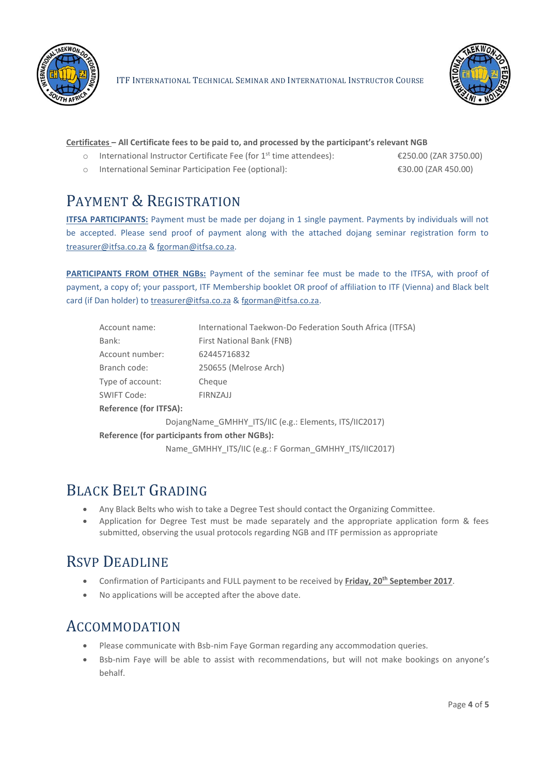

ITF INTERNATIONAL TECHNICAL SEMINAR AND INTERNATIONAL INSTRUCTOR COURSE



#### **Certificates – All Certificate fees to be paid to, and processed by the participant's relevant NGB**

o International Instructor Certificate Fee (for 1st time attendees): €250.00 (ZAR 3750.00)

o International Seminar Participation Fee (optional): €30.00 (ZAR 450.00)

### PAYMENT & REGISTRATION

**ITFSA PARTICIPANTS:** Payment must be made per dojang in 1 single payment. Payments by individuals will not be accepted. Please send proof of payment along with the attached dojang seminar registration form to [treasurer@itfsa.co.za](mailto:treasurer@itfsa.co.za) [& fgorman@itfsa.co.za.](mailto:fgorman@itfsa.co.za)

**PARTICIPANTS FROM OTHER NGBs:** Payment of the seminar fee must be made to the ITFSA, with proof of payment, a copy of; your passport, ITF Membership booklet OR proof of affiliation to ITF (Vienna) and Black belt card (if Dan holder) to [treasurer@itfsa.co.za](mailto:treasurer@itfsa.co.za) [& fgorman@itfsa.co.za.](mailto:fgorman@itfsa.co.za)

| Account name:                                          | International Taekwon-Do Federation South Africa (ITFSA) |  |  |  |
|--------------------------------------------------------|----------------------------------------------------------|--|--|--|
| Bank:                                                  | First National Bank (FNB)                                |  |  |  |
| Account number:                                        | 62445716832                                              |  |  |  |
| Branch code:                                           | 250655 (Melrose Arch)                                    |  |  |  |
| Type of account:                                       | Cheque                                                   |  |  |  |
| SWIFT Code:                                            | FIRNZAJJ                                                 |  |  |  |
| <b>Reference (for ITFSA):</b>                          |                                                          |  |  |  |
| DojangName_GMHHY_ITS/IIC (e.g.: Elements, ITS/IIC2017) |                                                          |  |  |  |
| Reference (for participants from other NGBs):          |                                                          |  |  |  |
| Name GMHHY ITS/IIC (e.g.: F Gorman GMHHY ITS/IIC2017)  |                                                          |  |  |  |
|                                                        |                                                          |  |  |  |

### BLACK BELT GRADING

- Any Black Belts who wish to take a Degree Test should contact the Organizing Committee.
- Application for Degree Test must be made separately and the appropriate application form & fees submitted, observing the usual protocols regarding NGB and ITF permission as appropriate

### RSVP DEADLINE

- **•** Confirmation of Participants and FULL payment to be received by Friday, 20<sup>th</sup> September 2017.
- No applications will be accepted after the above date.

### ACCOMMODATION

- Please communicate with Bsb-nim Faye Gorman regarding any accommodation queries.
- Bsb-nim Faye will be able to assist with recommendations, but will not make bookings on anyone's behalf.